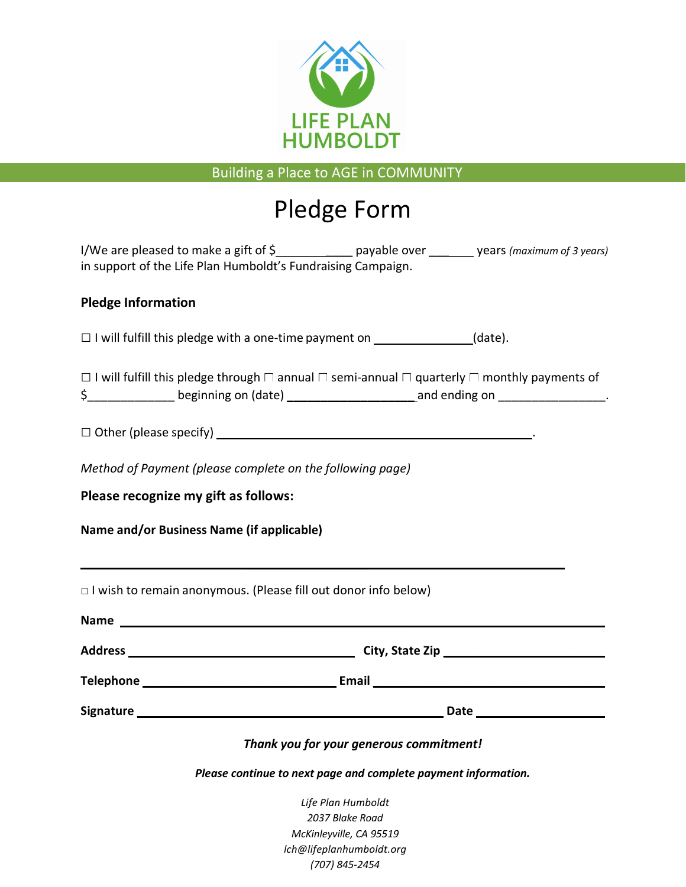

Building a Place to AGE in COMMUNITY

# Pledge Form

| I/We are pleased to make a gift of $\zeta$                   | payable over | years (maximum of 3 years) |
|--------------------------------------------------------------|--------------|----------------------------|
| in support of the Life Plan Humboldt's Fundraising Campaign. |              |                            |

## **Pledge Information**

 $\Box$  I will fulfill this pledge with a one-time payment on  $\Box$  (date).

 $\textsf{S}_{\_{}{}_{\_{}{}_{\_{}}}\_{}$  beginning on (date)  $\_{}_{\_{}_{\_{}_{\_{}}}\_{}$   $\_{}_{\_{}_{\_{}}}$  and ending on  $\_{}_{\_{}_{\_{}_{\_{}}}\_{}$ □ I will fulfill this pledge through □ annual □ semi-annual □ quarterly □ monthly payments of

□ Other (please specify) .

**\_\_\_\_\_\_\_\_\_\_\_\_\_\_\_\_\_\_\_**

*Method of Payment (please complete on the following page)*

**Please recognize my gift as follows:**

**Name and/or Business Name (if applicable)**

□ I wish to remain anonymous. (Please fill out donor info below) **Name \_\_\_\_\_\_\_\_\_\_\_\_\_\_\_\_\_\_\_ Address City, State Zip \_\_\_\_\_\_\_\_\_\_\_\_\_\_\_\_\_\_\_\_\_\_\_\_ Telephone \_\_\_\_\_\_\_\_\_\_\_\_\_\_\_\_\_\_\_\_\_\_\_\_\_\_\_\_ Email \_\_\_\_\_\_\_\_\_\_\_\_\_\_\_\_\_\_\_\_\_\_\_\_\_\_\_\_\_\_\_\_\_\_ Signature \_\_\_\_\_\_\_\_\_\_\_\_\_\_\_\_\_\_\_\_\_\_\_\_\_\_\_\_\_\_\_\_\_\_\_\_\_\_\_\_\_\_\_\_\_ Date \_\_\_\_\_\_\_\_\_\_\_\_\_\_\_\_** *Thank you for your generous commitment! Please continue to next page and complete payment information. Life Plan Humboldt 2037 Blake Road McKinleyville, CA 95519* 

> *lch@lifeplanhumboldt.org (707) 845-2454*